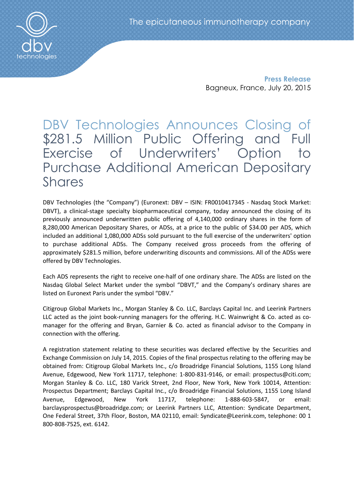

Press Release Bagneux, France, July 20, 2015

## DBV Technologies Announces Closing of \$281.5 Million Public Offering and Full Exercise of Underwriters' Option to Purchase Additional American Depositary Shares

DBV Technologies (the "Company") (Euronext: DBV – ISIN: FR0010417345 - Nasdaq Stock Market: DBVT), a clinical-stage specialty biopharmaceutical company, today announced the closing of its previously announced underwritten public offering of 4,140,000 ordinary shares in the form of 8,280,000 American Depositary Shares, or ADSs, at a price to the public of \$34.00 per ADS, which included an additional 1,080,000 ADSs sold pursuant to the full exercise of the underwriters' option to purchase additional ADSs. The Company received gross proceeds from the offering of approximately \$281.5 million, before underwriting discounts and commissions. All of the ADSs were offered by DBV Technologies.

Each ADS represents the right to receive one-half of one ordinary share. The ADSs are listed on the Nasdaq Global Select Market under the symbol "DBVT," and the Company's ordinary shares are listed on Euronext Paris under the symbol "DBV."

Citigroup Global Markets Inc., Morgan Stanley & Co. LLC, Barclays Capital Inc. and Leerink Partners LLC acted as the joint book-running managers for the offering. H.C. Wainwright & Co. acted as comanager for the offering and Bryan, Garnier & Co. acted as financial advisor to the Company in connection with the offering.

A registration statement relating to these securities was declared effective by the Securities and Exchange Commission on July 14, 2015. Copies of the final prospectus relating to the offering may be obtained from: Citigroup Global Markets Inc., c/o Broadridge Financial Solutions, 1155 Long Island Avenue, Edgewood, New York 11717, telephone: 1-800-831-9146, or email: prospectus@citi.com; Morgan Stanley & Co. LLC, 180 Varick Street, 2nd Floor, New York, New York 10014, Attention: Prospectus Department; Barclays Capital Inc., c/o Broadridge Financial Solutions, 1155 Long Island Avenue, Edgewood, New York 11717, telephone: 1-888-603-5847, or email: barclaysprospectus@broadridge.com; or Leerink Partners LLC, Attention: Syndicate Department, One Federal Street, 37th Floor, Boston, MA 02110, email: Syndicate@Leerink.com, telephone: 00 1 800-808-7525, ext. 6142.